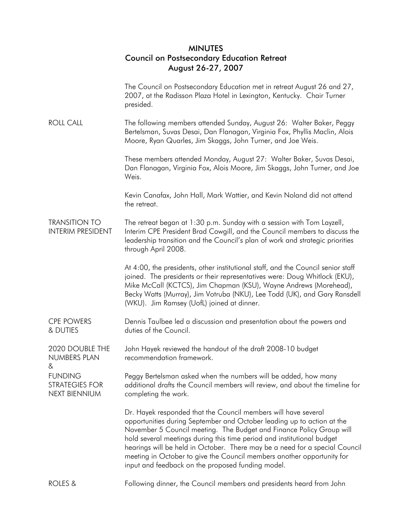## MINUTES Council on Postsecondary Education Retreat August 26-27, 2007

The Council on Postsecondary Education met in retreat August 26 and 27, 2007, at the Radisson Plaza Hotel in Lexington, Kentucky. Chair Turner presided.

ROLL CALL The following members attended Sunday, August 26: Walter Baker, Peggy Bertelsman, Suvas Desai, Dan Flanagan, Virginia Fox, Phyllis Maclin, Alois Moore, Ryan Quarles, Jim Skaggs, John Turner, and Joe Weis.

> These members attended Monday, August 27: Walter Baker, Suvas Desai, Dan Flanagan, Virginia Fox, Alois Moore, Jim Skaggs, John Turner, and Joe Weis.

Kevin Canafax, John Hall, Mark Wattier, and Kevin Noland did not attend the retreat.

## TRANSITION TO INTERIM PRESIDENT The retreat began at 1:30 p.m. Sunday with a session with Tom Layzell, Interim CPE President Brad Cowgill, and the Council members to discuss the leadership transition and the Council's plan of work and strategic priorities through April 2008.

At 4:00, the presidents, other institutional staff, and the Council senior staff joined. The presidents or their representatives were: Doug Whitlock (EKU), Mike McCall (KCTCS), Jim Chapman (KSU), Wayne Andrews (Morehead), Becky Watts (Murray), Jim Votruba (NKU), Lee Todd (UK), and Gary Ransdell (WKU). Jim Ramsey (UofL) joined at dinner.

CPE POWERS & DUTIES Dennis Taulbee led a discussion and presentation about the powers and duties of the Council.

2020 DOUBLE THE NUMBERS PLAN & John Hayek reviewed the handout of the draft 2008-10 budget recommendation framework.

**FUNDING** 

STRATEGIES FOR NEXT BIENNIUM

Peggy Bertelsman asked when the numbers will be added, how many additional drafts the Council members will review, and about the timeline for completing the work.

Dr. Hayek responded that the Council members will have several opportunities during September and October leading up to action at the November 5 Council meeting. The Budget and Finance Policy Group will hold several meetings during this time period and institutional budget hearings will be held in October. There may be a need for a special Council meeting in October to give the Council members another opportunity for input and feedback on the proposed funding model.